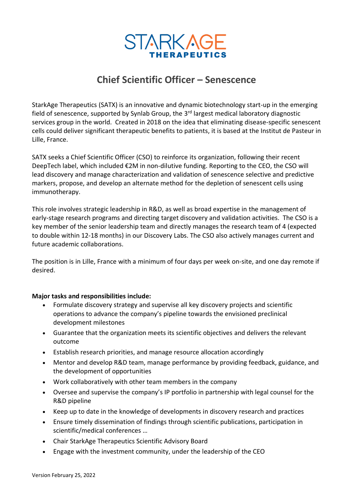

# **Chief Scientific Officer – Senescence**

StarkAge Therapeutics (SATX) is an innovative and dynamic biotechnology start-up in the emerging field of senescence, supported by Synlab Group, the 3<sup>rd</sup> largest medical laboratory diagnostic services group in the world. Created in 2018 on the idea that eliminating disease-specific senescent cells could deliver significant therapeutic benefits to patients, it is based at the Institut de Pasteur in Lille, France.

SATX seeks a Chief Scientific Officer (CSO) to reinforce its organization, following their recent DeepTech label, which included €2M in non-dilutive funding. Reporting to the CEO, the CSO will lead discovery and manage characterization and validation of senescence selective and predictive markers, propose, and develop an alternate method for the depletion of senescent cells using immunotherapy.

This role involves strategic leadership in R&D, as well as broad expertise in the management of early-stage research programs and directing target discovery and validation activities. The CSO is a key member of the senior leadership team and directly manages the research team of 4 (expected to double within 12-18 months) in our Discovery Labs. The CSO also actively manages current and future academic collaborations.

The position is in Lille, France with a minimum of four days per week on-site, and one day remote if desired.

# **Major tasks and responsibilities include:**

- Formulate discovery strategy and supervise all key discovery projects and scientific operations to advance the company's pipeline towards the envisioned preclinical development milestones
- Guarantee that the organization meets its scientific objectives and delivers the relevant outcome
- Establish research priorities, and manage resource allocation accordingly
- Mentor and develop R&D team, manage performance by providing feedback, guidance, and the development of opportunities
- Work collaboratively with other team members in the company
- Oversee and supervise the company's IP portfolio in partnership with legal counsel for the R&D pipeline
- Keep up to date in the knowledge of developments in discovery research and practices
- Ensure timely dissemination of findings through scientific publications, participation in scientific/medical conferences …
- Chair StarkAge Therapeutics Scientific Advisory Board
- Engage with the investment community, under the leadership of the CEO